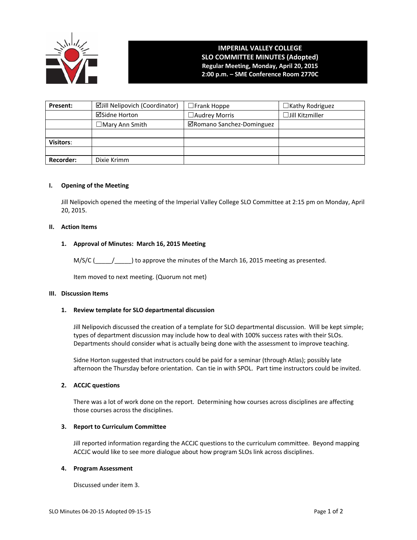

# **IMPERIAL VALLEY COLLEGE SLO COMMITTEE MINUTES (Adopted) Regular Meeting, Monday, April 20, 2015 2:00 p.m. – SME Conference Room 2770C**

| Present:         | <b>ØJill Nelipovich (Coordinator)</b> | $\Box$ Frank Hoppe        | $\Box$ Kathy Rodriguez |
|------------------|---------------------------------------|---------------------------|------------------------|
|                  | <b>⊠Sidne Horton</b>                  | $\Box$ Audrey Morris      | $\Box$ Jill Kitzmiller |
|                  | $\Box$ Mary Ann Smith                 | ⊠Romano Sanchez-Dominguez |                        |
|                  |                                       |                           |                        |
| <b>Visitors:</b> |                                       |                           |                        |
|                  |                                       |                           |                        |
| <b>Recorder:</b> | Dixie Krimm                           |                           |                        |

### **I. Opening of the Meeting**

Jill Nelipovich opened the meeting of the Imperial Valley College SLO Committee at 2:15 pm on Monday, April 20, 2015.

### **II. Action Items**

## **1. Approval of Minutes: March 16, 2015 Meeting**

 $M/S/C$  (  $/$  ) to approve the minutes of the March 16, 2015 meeting as presented.

Item moved to next meeting. (Quorum not met)

#### **III. Discussion Items**

### **1. Review template for SLO departmental discussion**

Jill Nelipovich discussed the creation of a template for SLO departmental discussion. Will be kept simple; types of department discussion may include how to deal with 100% success rates with their SLOs. Departments should consider what is actually being done with the assessment to improve teaching.

Sidne Horton suggested that instructors could be paid for a seminar (through Atlas); possibly late afternoon the Thursday before orientation. Can tie in with SPOL. Part time instructors could be invited.

### **2. ACCJC questions**

There was a lot of work done on the report. Determining how courses across disciplines are affecting those courses across the disciplines.

## **3. Report to Curriculum Committee**

Jill reported information regarding the ACCJC questions to the curriculum committee. Beyond mapping ACCJC would like to see more dialogue about how program SLOs link across disciplines.

## **4. Program Assessment**

Discussed under item 3.